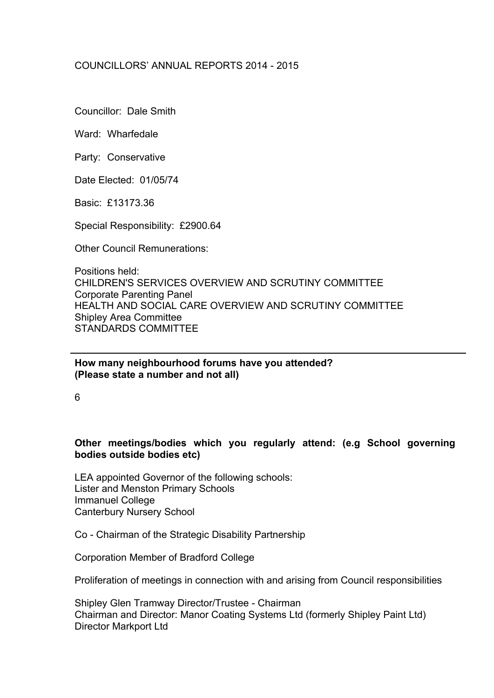# COUNCILLORS' ANNUAL REPORTS 2014 - 2015

Councillor: Dale Smith

Ward: Wharfedale

Party: Conservative

Date Elected: 01/05/74

Basic: £13173.36

Special Responsibility: £2900.64

Other Council Remunerations:

Positions held: CHILDREN'S SERVICES OVERVIEW AND SCRUTINY COMMITTEE Corporate Parenting Panel HEALTH AND SOCIAL CARE OVERVIEW AND SCRUTINY COMMITTEE Shipley Area Committee STANDARDS COMMITTEE

**How many neighbourhood forums have you attended? (Please state a number and not all)**

6

## **Other meetings/bodies which you regularly attend: (e.g School governing bodies outside bodies etc)**

LEA appointed Governor of the following schools: Lister and Menston Primary Schools Immanuel College Canterbury Nursery School

Co - Chairman of the Strategic Disability Partnership

Corporation Member of Bradford College

Proliferation of meetings in connection with and arising from Council responsibilities

Shipley Glen Tramway Director/Trustee - Chairman Chairman and Director: Manor Coating Systems Ltd (formerly Shipley Paint Ltd) Director Markport Ltd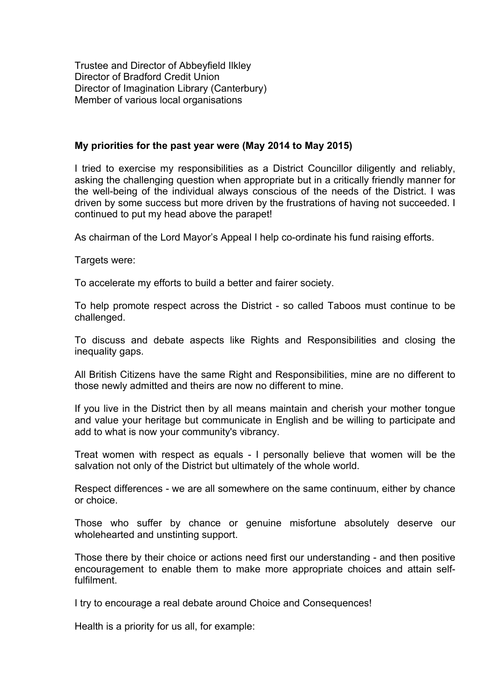Trustee and Director of Abbeyfield Ilkley Director of Bradford Credit Union Director of Imagination Library (Canterbury) Member of various local organisations

### **My priorities for the past year were (May 2014 to May 2015)**

I tried to exercise my responsibilities as a District Councillor diligently and reliably, asking the challenging question when appropriate but in a critically friendly manner for the well-being of the individual always conscious of the needs of the District. I was driven by some success but more driven by the frustrations of having not succeeded. I continued to put my head above the parapet!

As chairman of the Lord Mayor's Appeal I help co-ordinate his fund raising efforts.

Targets were:

To accelerate my efforts to build a better and fairer society.

To help promote respect across the District - so called Taboos must continue to be challenged.

To discuss and debate aspects like Rights and Responsibilities and closing the inequality gaps.

All British Citizens have the same Right and Responsibilities, mine are no different to those newly admitted and theirs are now no different to mine.

If you live in the District then by all means maintain and cherish your mother tongue and value your heritage but communicate in English and be willing to participate and add to what is now your community's vibrancy.

Treat women with respect as equals - I personally believe that women will be the salvation not only of the District but ultimately of the whole world.

Respect differences - we are all somewhere on the same continuum, either by chance or choice.

Those who suffer by chance or genuine misfortune absolutely deserve our wholehearted and unstinting support.

Those there by their choice or actions need first our understanding - and then positive encouragement to enable them to make more appropriate choices and attain selffulfilment.

I try to encourage a real debate around Choice and Consequences!

Health is a priority for us all, for example: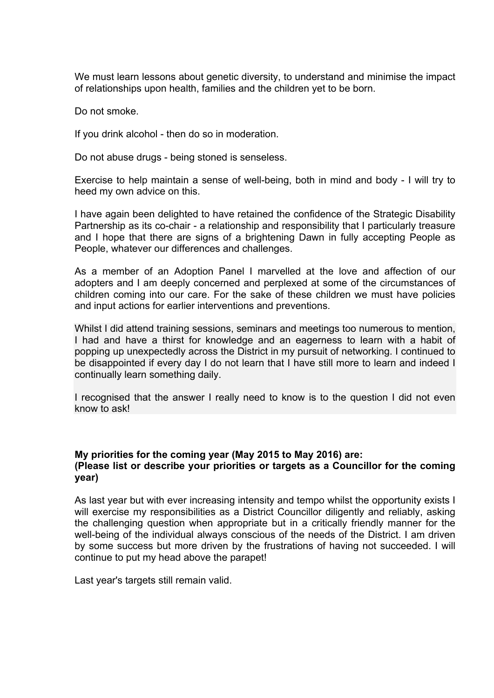We must learn lessons about genetic diversity, to understand and minimise the impact of relationships upon health, families and the children yet to be born.

Do not smoke.

If you drink alcohol - then do so in moderation.

Do not abuse drugs - being stoned is senseless.

Exercise to help maintain a sense of well-being, both in mind and body - I will try to heed my own advice on this.

I have again been delighted to have retained the confidence of the Strategic Disability Partnership as its co-chair - a relationship and responsibility that I particularly treasure and I hope that there are signs of a brightening Dawn in fully accepting People as People, whatever our differences and challenges.

As a member of an Adoption Panel I marvelled at the love and affection of our adopters and I am deeply concerned and perplexed at some of the circumstances of children coming into our care. For the sake of these children we must have policies and input actions for earlier interventions and preventions.

Whilst I did attend training sessions, seminars and meetings too numerous to mention, I had and have a thirst for knowledge and an eagerness to learn with a habit of popping up unexpectedly across the District in my pursuit of networking. I continued to be disappointed if every day I do not learn that I have still more to learn and indeed I continually learn something daily.

I recognised that the answer I really need to know is to the question I did not even know to ask!

# **My priorities for the coming year (May 2015 to May 2016) are: (Please list or describe your priorities or targets as a Councillor for the coming year)**

As last year but with ever increasing intensity and tempo whilst the opportunity exists I will exercise my responsibilities as a District Councillor diligently and reliably, asking the challenging question when appropriate but in a critically friendly manner for the well-being of the individual always conscious of the needs of the District. I am driven by some success but more driven by the frustrations of having not succeeded. I will continue to put my head above the parapet!

Last year's targets still remain valid.